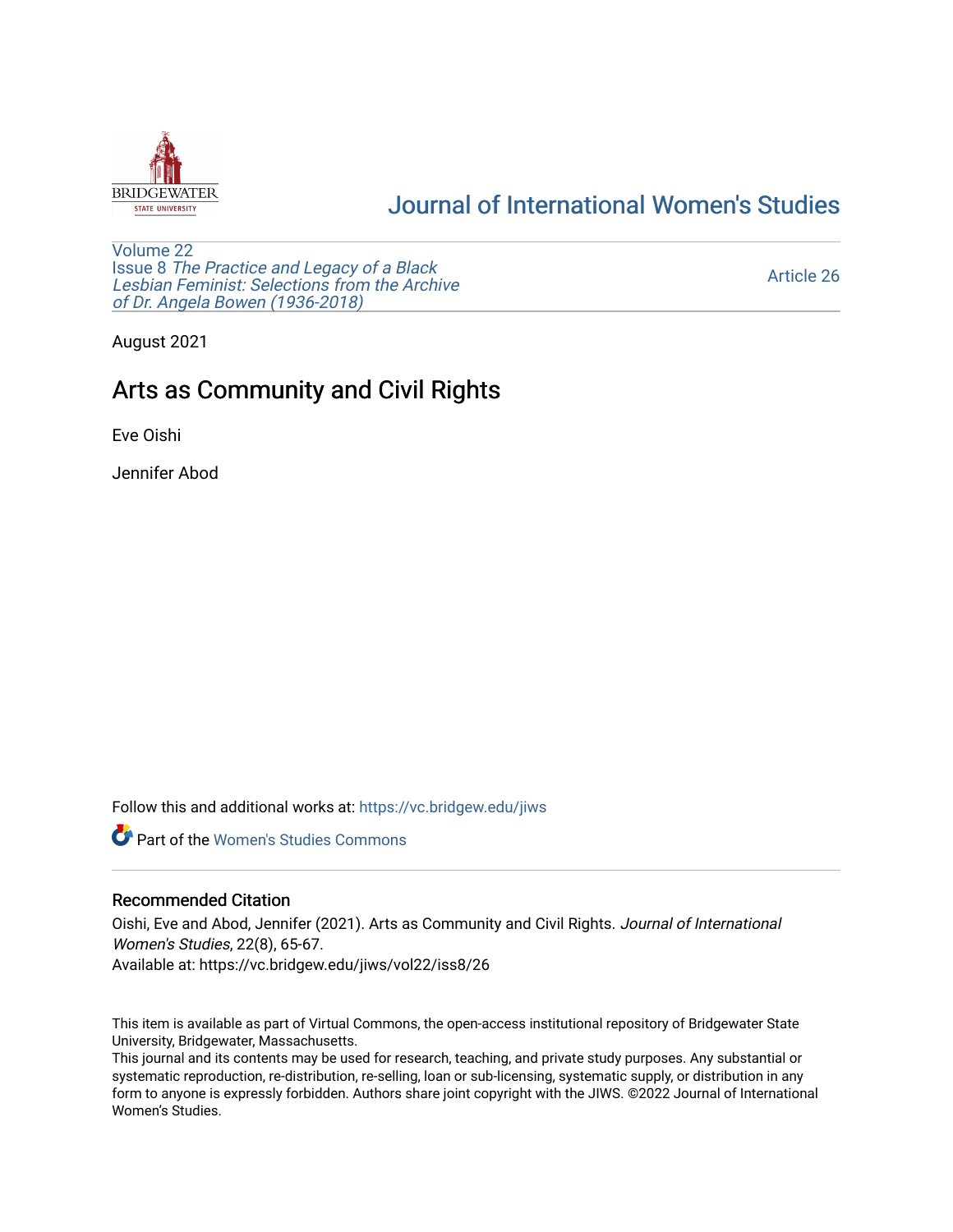

# [Journal of International Women's Studies](https://vc.bridgew.edu/jiws)

[Volume 22](https://vc.bridgew.edu/jiws/vol22) Issue 8 [The Practice and Legacy of a Black](https://vc.bridgew.edu/jiws/vol22/iss8)  [Lesbian Feminist: Selections from the Archive](https://vc.bridgew.edu/jiws/vol22/iss8)  [of Dr. Angela Bowen \(1936-2018\)](https://vc.bridgew.edu/jiws/vol22/iss8)

[Article 26](https://vc.bridgew.edu/jiws/vol22/iss8/26) 

August 2021

# Arts as Community and Civil Rights

Eve Oishi

Jennifer Abod

Follow this and additional works at: [https://vc.bridgew.edu/jiws](https://vc.bridgew.edu/jiws?utm_source=vc.bridgew.edu%2Fjiws%2Fvol22%2Fiss8%2F26&utm_medium=PDF&utm_campaign=PDFCoverPages)

**C** Part of the Women's Studies Commons

### Recommended Citation

Oishi, Eve and Abod, Jennifer (2021). Arts as Community and Civil Rights. Journal of International Women's Studies, 22(8), 65-67.

Available at: https://vc.bridgew.edu/jiws/vol22/iss8/26

This item is available as part of Virtual Commons, the open-access institutional repository of Bridgewater State University, Bridgewater, Massachusetts.

This journal and its contents may be used for research, teaching, and private study purposes. Any substantial or systematic reproduction, re-distribution, re-selling, loan or sub-licensing, systematic supply, or distribution in any form to anyone is expressly forbidden. Authors share joint copyright with the JIWS. ©2022 Journal of International Women's Studies.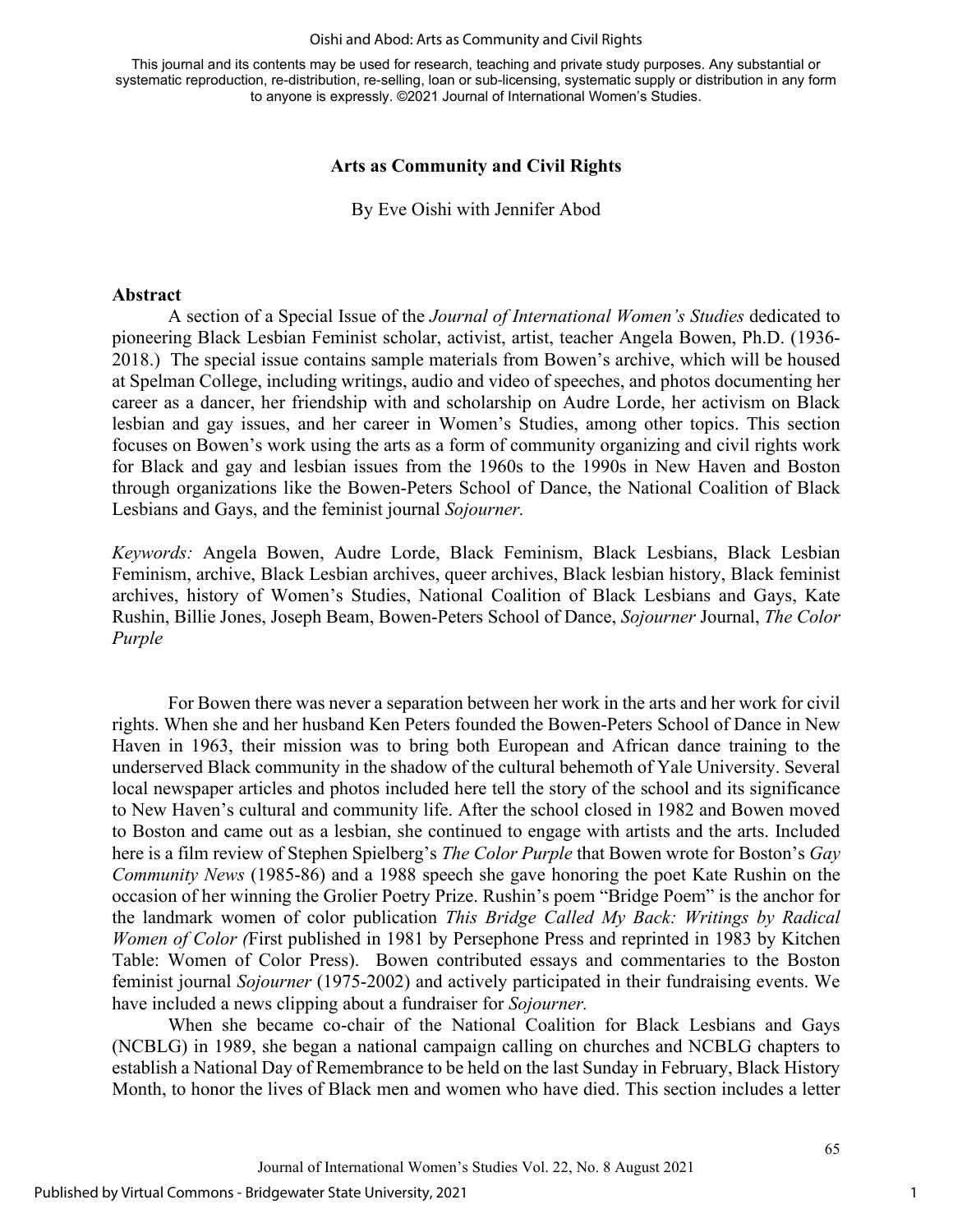#### Oishi and Abod: Arts as Community and Civil Rights

This journal and its contents may be used for research, teaching and private study purposes. Any substantial or systematic reproduction, re-distribution, re-selling, loan or sub-licensing, systematic supply or distribution in any form to anyone is expressly. ©2021 Journal of International Women's Studies.

### **Arts as Community and Civil Rights**

By Eve Oishi with Jennifer Abod

#### **Abstract**

A section of a Special Issue of the *Journal of International Women's Studies* dedicated to pioneering Black Lesbian Feminist scholar, activist, artist, teacher Angela Bowen, Ph.D. (1936- 2018.) The special issue contains sample materials from Bowen's archive, which will be housed at Spelman College, including writings, audio and video of speeches, and photos documenting her career as a dancer, her friendship with and scholarship on Audre Lorde, her activism on Black lesbian and gay issues, and her career in Women's Studies, among other topics. This section focuses on Bowen's work using the arts as a form of community organizing and civil rights work for Black and gay and lesbian issues from the 1960s to the 1990s in New Haven and Boston through organizations like the Bowen-Peters School of Dance, the National Coalition of Black Lesbians and Gays, and the feminist journal *Sojourner.* 

*Keywords:* Angela Bowen, Audre Lorde, Black Feminism, Black Lesbians, Black Lesbian Feminism, archive, Black Lesbian archives, queer archives, Black lesbian history, Black feminist archives, history of Women's Studies, National Coalition of Black Lesbians and Gays, Kate Rushin, Billie Jones, Joseph Beam, Bowen-Peters School of Dance, *Sojourner* Journal, *The Color Purple* 

For Bowen there was never a separation between her work in the arts and her work for civil rights. When she and her husband Ken Peters founded the Bowen-Peters School of Dance in New Haven in 1963, their mission was to bring both European and African dance training to the underserved Black community in the shadow of the cultural behemoth of Yale University. Several local newspaper articles and photos included here tell the story of the school and its significance to New Haven's cultural and community life. After the school closed in 1982 and Bowen moved to Boston and came out as a lesbian, she continued to engage with artists and the arts. Included here is a film review of Stephen Spielberg's *The Color Purple* that Bowen wrote for Boston's *Gay Community News* (1985-86) and a 1988 speech she gave honoring the poet Kate Rushin on the occasion of her winning the Grolier Poetry Prize. Rushin's poem "Bridge Poem" is the anchor for the landmark women of color publication *This Bridge Called My Back: Writings by Radical Women of Color (*First published in 1981 by Persephone Press and reprinted in 1983 by Kitchen Table: Women of Color Press). Bowen contributed essays and commentaries to the Boston feminist journal *Sojourner* (1975-2002) and actively participated in their fundraising events. We have included a news clipping about a fundraiser for *Sojourner.* 

When she became co-chair of the National Coalition for Black Lesbians and Gays (NCBLG) in 1989, she began a national campaign calling on churches and NCBLG chapters to establish a National Day of Remembrance to be held on the last Sunday in February, Black History Month, to honor the lives of Black men and women who have died. This section includes a letter

1

65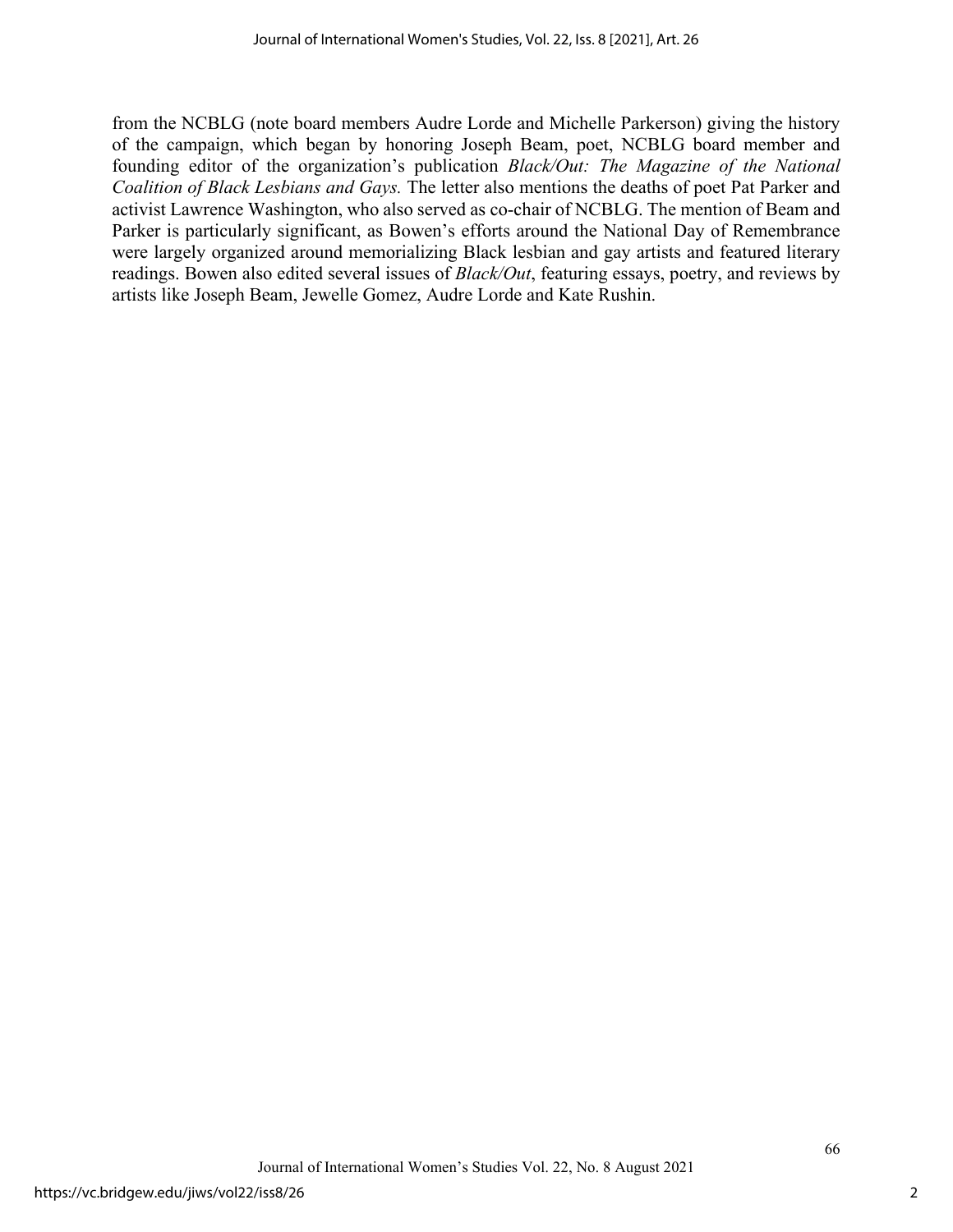from the NCBLG (note board members Audre Lorde and Michelle Parkerson) giving the history of the campaign, which began by honoring Joseph Beam, poet, NCBLG board member and founding editor of the organization's publication *Black/Out: The Magazine of the National Coalition of Black Lesbians and Gays.* The letter also mentions the deaths of poet Pat Parker and activist Lawrence Washington, who also served as co-chair of NCBLG. The mention of Beam and Parker is particularly significant, as Bowen's efforts around the National Day of Remembrance were largely organized around memorializing Black lesbian and gay artists and featured literary readings. Bowen also edited several issues of *Black/Out*, featuring essays, poetry, and reviews by artists like Joseph Beam, Jewelle Gomez, Audre Lorde and Kate Rushin.

66